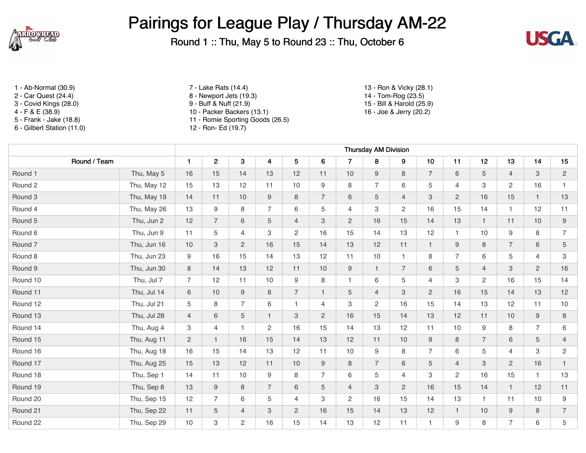

Round 1 :: Thu, May 5 to Round 23 :: Thu, October 6



- 
- 
- 
- 
- 6 Gilbert Station (11.0) 12 Ron- Ed (19.7)

1 - Ab-Normal (30.9) 7 - Lake Rats (14.4) 13 - Ron & Vicky (28.1) 2 - Car Quest (24.4) 8 - Newport Jets (19.3) 14 - Tom-Rog (23.5) 3 - Covid Kings (28.0) 9 - Buff & Nuff (21.9) 15 - Bill & Harold (25.9)<br>4 - F & E (38.9) 10 - Packer Backers (13.1) 16 - Joe & Jerry (20.2) 10 - Packer Backers (13.1) 5 - Frank - Jake (18.8) 11 - Romie Sporting Goods (26.5)

|                    |             | <b>Thursday AM Division</b> |                |                |                         |                |                |                 |                |                |                 |                |                |                  |                |                  |
|--------------------|-------------|-----------------------------|----------------|----------------|-------------------------|----------------|----------------|-----------------|----------------|----------------|-----------------|----------------|----------------|------------------|----------------|------------------|
| Round / Team       |             | $\mathbf{1}$                | $\overline{2}$ | 3              | $\overline{\mathbf{4}}$ | 5              | 6              | $\overline{7}$  | 8              | 9              | 10              | 11             | 12             | 13               | 14             | 15               |
| Round 1            | Thu, May 5  | 16                          | 15             | 14             | 13                      | 12             | 11             | 10              | 9              | 8              | $\overline{7}$  | 6              | 5              | $\overline{4}$   | 3              | $\overline{2}$   |
| Round 2            | Thu, May 12 | 15                          | 13             | 12             | 11                      | 10             | 9              | 8               | $\overline{7}$ | 6              | 5               | $\overline{4}$ | 3              | $\overline{2}$   | 16             | $\mathbf{1}$     |
| Round 3            | Thu, May 19 | 14                          | 11             | 10             | 9                       | 8              | $\overline{7}$ | 6               | $\overline{5}$ | $\overline{4}$ | 3               | 2              | 16             | 15               | $\mathbf{1}$   | 13               |
| Round 4            | Thu, May 26 | 13                          | 9              | 8              | $\overline{7}$          | 6              | 5              | $\overline{4}$  | 3              | $\overline{2}$ | 16              | 15             | 14             | $\mathbf{1}$     | 12             | 11               |
| Round 5            | Thu, Jun 2  | 12                          | $\overline{7}$ | 6              | 5                       | $\overline{4}$ | 3              | $\overline{c}$  | 16             | 15             | 14              | 13             | $\mathbf{1}$   | 11               | 10             | 9                |
| Round 6            | Thu, Jun 9  | 11                          | 5              | $\overline{4}$ | 3                       | $\overline{2}$ | 16             | 15              | 14             | 13             | 12              | $\mathbf{1}$   | 10             | 9                | 8              | $\overline{7}$   |
| Round <sub>7</sub> | Thu, Jun 16 | 10                          | 3              | $\overline{2}$ | 16                      | 15             | 14             | 13              | 12             | 11             | $\mathbf{1}$    | 9              | 8              | $\overline{7}$   | 6              | 5                |
| Round 8            | Thu, Jun 23 | 9                           | 16             | 15             | 14                      | 13             | 12             | 11              | 10             | $\mathbf{1}$   | 8               | $\overline{7}$ | 6              | 5                | $\overline{4}$ | 3                |
| Round 9            | Thu, Jun 30 | 8                           | 14             | 13             | 12                      | 11             | 10             | 9               | $\mathbf{1}$   | $\overline{7}$ | $6\phantom{1}6$ | 5              | $\overline{4}$ | 3                | $\overline{2}$ | 16               |
| Round 10           | Thu, Jul 7  | $\overline{7}$              | 12             | 11             | 10                      | 9              | 8              | $\mathbf{1}$    | 6              | 5              | $\overline{4}$  | 3              | $\overline{c}$ | 16               | 15             | 14               |
| Round 11           | Thu, Jul 14 | 6                           | 10             | $\mathsf g$    | 8                       | $\overline{7}$ | $\mathbf{1}$   | 5               | $\overline{4}$ | 3              | $\mathbf{2}$    | 16             | 15             | 14               | 13             | 12               |
| Round 12           | Thu, Jul 21 | 5                           | 8              | $\overline{7}$ | 6                       | $\mathbf{1}$   | $\overline{4}$ | 3               | $\overline{c}$ | 16             | 15              | 14             | 13             | 12               | 11             | 10               |
| Round 13           | Thu, Jul 28 | $\overline{4}$              | 6              | 5              | $\mathbf{1}$            | 3              | 2              | 16              | 15             | 14             | 13              | 12             | 11             | 10               | 9              | 8                |
| Round 14           | Thu, Aug 4  | 3                           | $\overline{4}$ | $\mathbf 1$    | $\overline{2}$          | 16             | 15             | 14              | 13             | 12             | 11              | 10             | 9              | 8                | $\overline{7}$ | $\,6\,$          |
| Round 15           | Thu, Aug 11 | $\overline{2}$              | $\mathbf{1}$   | 16             | 15                      | 14             | 13             | 12              | 11             | 10             | 9               | 8              | $\overline{7}$ | 6                | 5              | $\overline{4}$   |
| Round 16           | Thu, Aug 18 | 16                          | 15             | 14             | 13                      | 12             | 11             | 10 <sup>°</sup> | 9              | 8              | $\overline{7}$  | 6              | 5              | $\overline{4}$   | 3              | $\mathbf{2}$     |
| Round 17           | Thu, Aug 25 | 15                          | 13             | 12             | 11                      | 10             | 9              | 8               | $\overline{7}$ | $6\phantom{.}$ | 5               | $\overline{4}$ | 3              | $\overline{2}$   | 16             | $\mathbf{1}$     |
| Round 18           | Thu, Sep 1  | 14                          | 11             | 10             | $\boldsymbol{9}$        | 8              | $\overline{7}$ | 6               | 5              | $\overline{4}$ | 3               | 2              | 16             | 15               | $\mathbf{1}$   | 13               |
| Round 19           | Thu, Sep 8  | 13                          | 9              | 8              | $\overline{7}$          | 6              | 5              | $\overline{4}$  | 3              | $\overline{2}$ | 16              | 15             | 14             | $\mathbf{1}$     | 12             | 11               |
| Round 20           | Thu, Sep 15 | 12                          | $\overline{7}$ | 6              | 5                       | 4              | 3              | $\overline{c}$  | 16             | 15             | 14              | 13             | $\mathbf{1}$   | 11               | 10             | $\boldsymbol{9}$ |
| Round 21           | Thu, Sep 22 | 11                          | 5              | $\overline{4}$ | 3                       | $\overline{c}$ | 16             | 15              | 14             | 13             | 12              | $\overline{1}$ | $10$           | $\boldsymbol{9}$ | 8              | $\overline{7}$   |
| Round 22           | Thu, Sep 29 | 10                          | 3              | $\overline{2}$ | 16                      | 15             | 14             | 13              | 12             | 11             | $\overline{1}$  | 9              | 8              | 7                | 6              | 5                |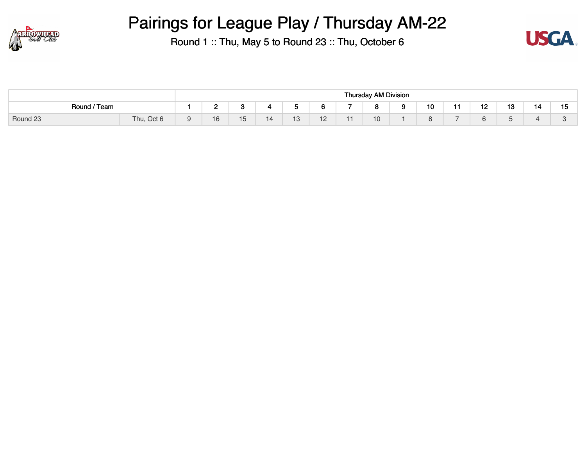



|              |                            |        |                               |   |                       |     | <b>Thursday AM Division</b> |        |     |           |     |    |    |
|--------------|----------------------------|--------|-------------------------------|---|-----------------------|-----|-----------------------------|--------|-----|-----------|-----|----|----|
| Round / Team |                            | -<br>_ |                               |   |                       |     | $\circ$<br>ີ                | <br>10 | . . | -10<br>ı∠ | 13  | 14 | 15 |
| Round 23     | Thu,<br>, Oct <sub>6</sub> | 16     | $\overline{\phantom{0}}$<br>◡ | ▏ | 1 <sub>2</sub><br>ט ו | $-$ | 10                          |        | -   | υ.        | . . |    |    |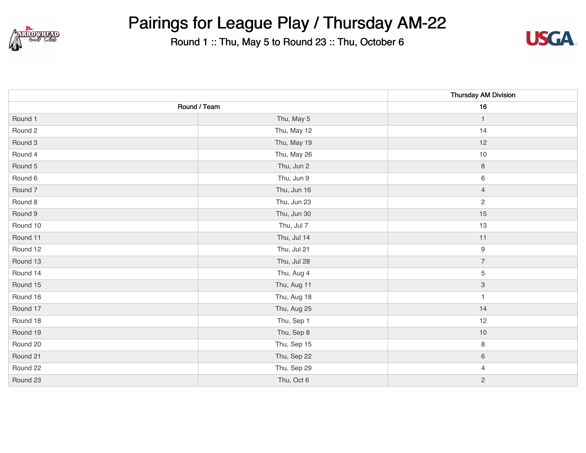



|          |              | <b>Thursday AM Division</b> |
|----------|--------------|-----------------------------|
|          | Round / Team | 16                          |
| Round 1  | Thu, May 5   | $\mathbf{1}$                |
| Round 2  | Thu, May 12  | 14                          |
| Round 3  | Thu, May 19  | 12                          |
| Round 4  | Thu, May 26  | $10$                        |
| Round 5  | Thu, Jun 2   | $\,8\,$                     |
| Round 6  | Thu, Jun 9   | $\,6\,$                     |
| Round 7  | Thu, Jun 16  | $\overline{4}$              |
| Round 8  | Thu, Jun 23  | $\overline{c}$              |
| Round 9  | Thu, Jun 30  | 15                          |
| Round 10 | Thu, Jul 7   | 13                          |
| Round 11 | Thu, Jul 14  | 11                          |
| Round 12 | Thu, Jul 21  | $\boldsymbol{9}$            |
| Round 13 | Thu, Jul 28  | $\boldsymbol{7}$            |
| Round 14 | Thu, Aug 4   | 5                           |
| Round 15 | Thu, Aug 11  | $\ensuremath{\mathsf{3}}$   |
| Round 16 | Thu, Aug 18  | $\mathbf{1}$                |
| Round 17 | Thu, Aug 25  | 14                          |
| Round 18 | Thu, Sep 1   | 12                          |
| Round 19 | Thu, Sep 8   | $10$                        |
| Round 20 | Thu, Sep 15  | 8                           |
| Round 21 | Thu, Sep 22  | $\,6\,$                     |
| Round 22 | Thu, Sep 29  | $\overline{4}$              |
| Round 23 | Thu, Oct 6   | $\overline{c}$              |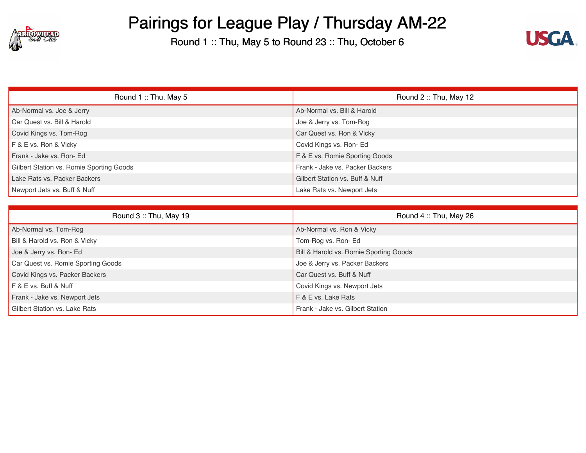



| Round 1: Thu, May 5                      | Round 2: Thu, May 12                       |
|------------------------------------------|--------------------------------------------|
| Ab-Normal vs. Joe & Jerry                | Ab-Normal vs. Bill & Harold                |
| Car Quest vs. Bill & Harold              | Joe & Jerry vs. Tom-Rog                    |
| Covid Kings vs. Tom-Rog                  | Car Quest vs. Ron & Vicky                  |
| F & E vs. Ron & Vicky                    | Covid Kings vs. Ron- Ed                    |
| Frank - Jake vs. Ron- Ed                 | F & E vs. Romie Sporting Goods             |
| Gilbert Station vs. Romie Sporting Goods | Frank - Jake vs. Packer Backers            |
| Lake Rats vs. Packer Backers             | <b>Gilbert Station vs. Buff &amp; Nuff</b> |
| Newport Jets vs. Buff & Nuff             | Lake Rats vs. Newport Jets                 |

| Round 3: Thu, May 19               | Round 4: Thu, May 26                   |
|------------------------------------|----------------------------------------|
| Ab-Normal vs. Tom-Rog              | Ab-Normal vs. Ron & Vicky              |
| Bill & Harold vs. Ron & Vicky      | Tom-Rog vs. Ron-Ed                     |
| Joe & Jerry vs. Ron- Ed            | Bill & Harold vs. Romie Sporting Goods |
| Car Quest vs. Romie Sporting Goods | Joe & Jerry vs. Packer Backers         |
| Covid Kings vs. Packer Backers     | Car Quest vs. Buff & Nuff              |
| F & E vs. Buff & Nuff              | Covid Kings vs. Newport Jets           |
| Frank - Jake vs. Newport Jets      | F & E vs. Lake Rats                    |
| Gilbert Station vs. Lake Rats      | Frank - Jake vs. Gilbert Station       |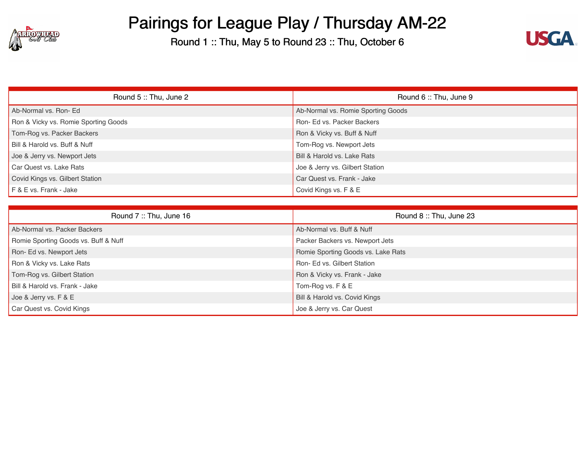



| Round 5: Thu, June 2                 | Round 6: Thu, June 9               |
|--------------------------------------|------------------------------------|
| Ab-Normal vs. Ron-Ed                 | Ab-Normal vs. Romie Sporting Goods |
| Ron & Vicky vs. Romie Sporting Goods | Ron- Ed vs. Packer Backers         |
| Tom-Rog vs. Packer Backers           | Ron & Vicky vs. Buff & Nuff        |
| Bill & Harold vs. Buff & Nuff        | Tom-Rog vs. Newport Jets           |
| Joe & Jerry vs. Newport Jets         | Bill & Harold vs. Lake Rats        |
| Car Quest vs. Lake Rats              | Joe & Jerry vs. Gilbert Station    |
| Covid Kings vs. Gilbert Station      | Car Quest vs. Frank - Jake         |
| F & E vs. Frank - Jake               | Covid Kings vs. F & E              |

| Round 7: Thu, June 16                | Round 8: Thu, June 23              |
|--------------------------------------|------------------------------------|
| Ab-Normal vs. Packer Backers         | Ab-Normal vs. Buff & Nuff          |
| Romie Sporting Goods vs. Buff & Nuff | Packer Backers vs. Newport Jets    |
| Ron-Ed vs. Newport Jets              | Romie Sporting Goods vs. Lake Rats |
| Ron & Vicky vs. Lake Rats            | Ron- Ed vs. Gilbert Station        |
| Tom-Rog vs. Gilbert Station          | Ron & Vicky vs. Frank - Jake       |
| Bill & Harold vs. Frank - Jake       | Tom-Rog vs. F & E                  |
| Joe & Jerry vs. F & E                | Bill & Harold vs. Covid Kings      |
| Car Quest vs. Covid Kings            | Joe & Jerry vs. Car Quest          |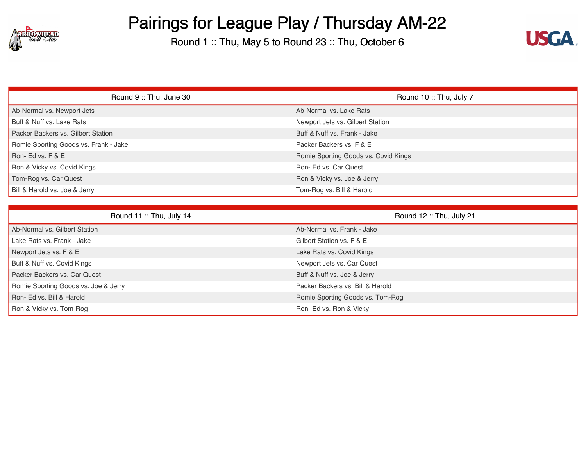



| Round 9: Thu, June 30                 | Round 10: Thu, July 7                |
|---------------------------------------|--------------------------------------|
| Ab-Normal vs. Newport Jets            | Ab-Normal vs. Lake Rats              |
| Buff & Nuff vs. Lake Rats             | Newport Jets vs. Gilbert Station     |
| Packer Backers vs. Gilbert Station    | Buff & Nuff vs. Frank - Jake         |
| Romie Sporting Goods vs. Frank - Jake | Packer Backers vs. F & E             |
| Ron-Ed vs. F & E                      | Romie Sporting Goods vs. Covid Kings |
| Ron & Vicky vs. Covid Kings           | Ron- Ed vs. Car Quest                |
| Tom-Rog vs. Car Quest                 | Ron & Vicky vs. Joe & Jerry          |
| Bill & Harold vs. Joe & Jerry         | Tom-Rog vs. Bill & Harold            |

| Round 11: Thu, July 14               | Round 12: Thu, July 21           |
|--------------------------------------|----------------------------------|
| Ab-Normal vs. Gilbert Station        | Ab-Normal vs. Frank - Jake       |
| Lake Rats vs. Frank - Jake           | Gilbert Station vs. F & E        |
| Newport Jets vs. F & E               | Lake Rats vs. Covid Kings        |
| Buff & Nuff vs. Covid Kings          | Newport Jets vs. Car Quest       |
| Packer Backers vs. Car Quest         | Buff & Nuff vs. Joe & Jerry      |
| Romie Sporting Goods vs. Joe & Jerry | Packer Backers vs. Bill & Harold |
| Ron- Ed vs. Bill & Harold            | Romie Sporting Goods vs. Tom-Rog |
| Ron & Vicky vs. Tom-Rog              | Ron- Ed vs. Ron & Vicky          |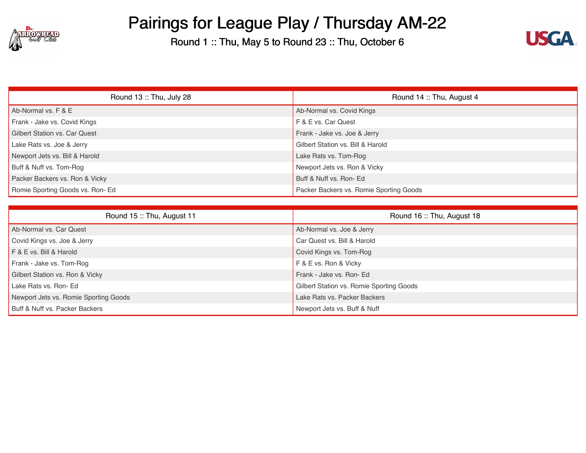



| Round 13: Thu, July 28               | Round 14: Thu, August 4                 |
|--------------------------------------|-----------------------------------------|
| Ab-Normal vs. F & E                  | Ab-Normal vs. Covid Kings               |
| Frank - Jake vs. Covid Kings         | F & E vs. Car Quest                     |
| <b>Gilbert Station vs. Car Quest</b> | Frank - Jake vs. Joe & Jerry            |
| Lake Rats vs. Joe & Jerry            | Gilbert Station vs. Bill & Harold       |
| Newport Jets vs. Bill & Harold       | Lake Rats vs. Tom-Rog                   |
| Buff & Nuff vs. Tom-Rog              | Newport Jets vs. Ron & Vicky            |
| Packer Backers vs. Ron & Vicky       | Buff & Nuff vs. Ron- Ed                 |
| Romie Sporting Goods vs. Ron-Ed      | Packer Backers vs. Romie Sporting Goods |

| Round 15: Thu, August 11              | Round 16: Thu, August 18                 |
|---------------------------------------|------------------------------------------|
| Ab-Normal vs. Car Quest               | Ab-Normal vs. Joe & Jerry                |
| Covid Kings vs. Joe & Jerry           | Car Quest vs. Bill & Harold              |
| F & E vs. Bill & Harold               | Covid Kings vs. Tom-Rog                  |
| Frank - Jake vs. Tom-Rog              | F & E vs. Ron & Vicky                    |
| Gilbert Station vs. Ron & Vicky       | Frank - Jake vs. Ron- Ed                 |
| Lake Rats vs. Ron- Ed                 | Gilbert Station vs. Romie Sporting Goods |
| Newport Jets vs. Romie Sporting Goods | Lake Rats vs. Packer Backers             |
| Buff & Nuff vs. Packer Backers        | Newport Jets vs. Buff & Nuff             |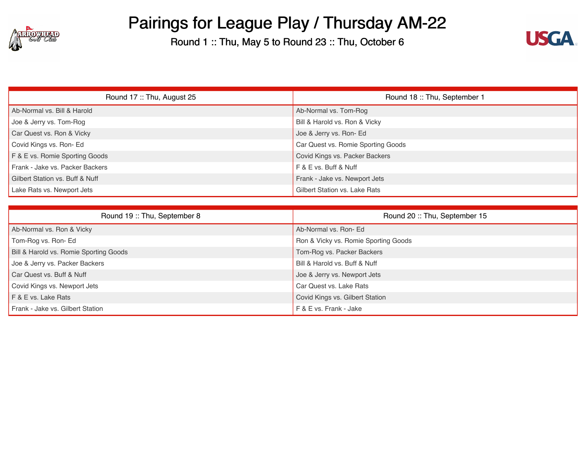



| Round 17: Thu, August 25        | Round 18: Thu, September 1         |
|---------------------------------|------------------------------------|
| Ab-Normal vs. Bill & Harold     | Ab-Normal vs. Tom-Rog              |
| Joe & Jerry vs. Tom-Rog         | Bill & Harold vs. Ron & Vicky      |
| Car Quest vs. Ron & Vicky       | Joe & Jerry vs. Ron-Ed             |
| Covid Kings vs. Ron-Ed          | Car Quest vs. Romie Sporting Goods |
| F & E vs. Romie Sporting Goods  | Covid Kings vs. Packer Backers     |
| Frank - Jake vs. Packer Backers | F & E vs. Buff & Nuff              |
| Gilbert Station vs. Buff & Nuff | Frank - Jake vs. Newport Jets      |
| Lake Rats vs. Newport Jets      | Gilbert Station vs. Lake Rats      |

| Round 19: Thu, September 8             | Round 20: Thu, September 15          |
|----------------------------------------|--------------------------------------|
| Ab-Normal vs. Ron & Vicky              | Ab-Normal vs. Ron- Ed                |
| Tom-Rog vs. Ron-Ed                     | Ron & Vicky vs. Romie Sporting Goods |
| Bill & Harold vs. Romie Sporting Goods | Tom-Rog vs. Packer Backers           |
| Joe & Jerry vs. Packer Backers         | Bill & Harold vs. Buff & Nuff        |
| Car Quest vs. Buff & Nuff              | Joe & Jerry vs. Newport Jets         |
| Covid Kings vs. Newport Jets           | Car Quest vs. Lake Rats              |
| F & E vs. Lake Rats                    | Covid Kings vs. Gilbert Station      |
| Frank - Jake vs. Gilbert Station       | F & E vs. Frank - Jake               |